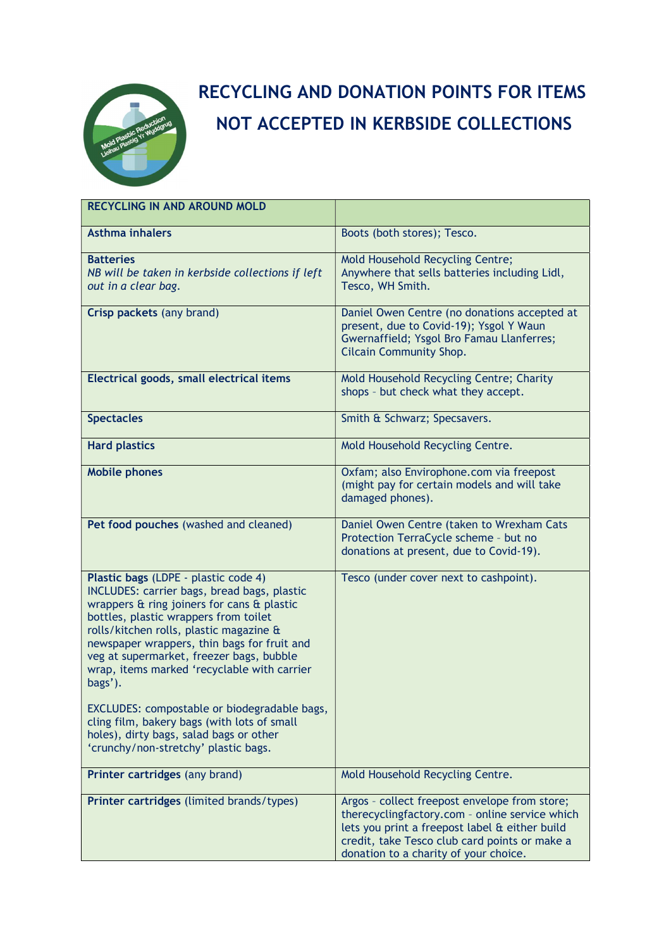

## RECYCLING AND DONATION POINTS FOR ITEMS NOT ACCEPTED IN KERBSIDE COLLECTIONS

| <b>RECYCLING IN AND AROUND MOLD</b>                                                                                                                                                                                                                                                                                                                                        |                                                                                                                                                                                                                                             |
|----------------------------------------------------------------------------------------------------------------------------------------------------------------------------------------------------------------------------------------------------------------------------------------------------------------------------------------------------------------------------|---------------------------------------------------------------------------------------------------------------------------------------------------------------------------------------------------------------------------------------------|
| <b>Asthma inhalers</b>                                                                                                                                                                                                                                                                                                                                                     | Boots (both stores); Tesco.                                                                                                                                                                                                                 |
| <b>Batteries</b><br>NB will be taken in kerbside collections if left<br>out in a clear bag.                                                                                                                                                                                                                                                                                | Mold Household Recycling Centre;<br>Anywhere that sells batteries including Lidl,<br>Tesco, WH Smith.                                                                                                                                       |
| Crisp packets (any brand)                                                                                                                                                                                                                                                                                                                                                  | Daniel Owen Centre (no donations accepted at<br>present, due to Covid-19); Ysgol Y Waun<br>Gwernaffield; Ysgol Bro Famau Llanferres;<br><b>Cilcain Community Shop.</b>                                                                      |
| Electrical goods, small electrical items                                                                                                                                                                                                                                                                                                                                   | Mold Household Recycling Centre; Charity<br>shops - but check what they accept.                                                                                                                                                             |
| <b>Spectacles</b>                                                                                                                                                                                                                                                                                                                                                          | Smith & Schwarz; Specsavers.                                                                                                                                                                                                                |
| <b>Hard plastics</b>                                                                                                                                                                                                                                                                                                                                                       | Mold Household Recycling Centre.                                                                                                                                                                                                            |
| <b>Mobile phones</b>                                                                                                                                                                                                                                                                                                                                                       | Oxfam; also Envirophone.com via freepost<br>(might pay for certain models and will take<br>damaged phones).                                                                                                                                 |
| Pet food pouches (washed and cleaned)                                                                                                                                                                                                                                                                                                                                      | Daniel Owen Centre (taken to Wrexham Cats<br>Protection TerraCycle scheme - but no<br>donations at present, due to Covid-19).                                                                                                               |
| Plastic bags (LDPE - plastic code 4)<br>INCLUDES: carrier bags, bread bags, plastic<br>wrappers & ring joiners for cans & plastic<br>bottles, plastic wrappers from toilet<br>rolls/kitchen rolls, plastic magazine &<br>newspaper wrappers, thin bags for fruit and<br>veg at supermarket, freezer bags, bubble<br>wrap, items marked 'recyclable with carrier<br>bags'). | Tesco (under cover next to cashpoint).                                                                                                                                                                                                      |
| EXCLUDES: compostable or biodegradable bags,<br>cling film, bakery bags (with lots of small<br>holes), dirty bags, salad bags or other<br>'crunchy/non-stretchy' plastic bags.                                                                                                                                                                                             |                                                                                                                                                                                                                                             |
| Printer cartridges (any brand)                                                                                                                                                                                                                                                                                                                                             | Mold Household Recycling Centre.                                                                                                                                                                                                            |
| Printer cartridges (limited brands/types)                                                                                                                                                                                                                                                                                                                                  | Argos - collect freepost envelope from store;<br>therecyclingfactory.com - online service which<br>lets you print a freepost label & either build<br>credit, take Tesco club card points or make a<br>donation to a charity of your choice. |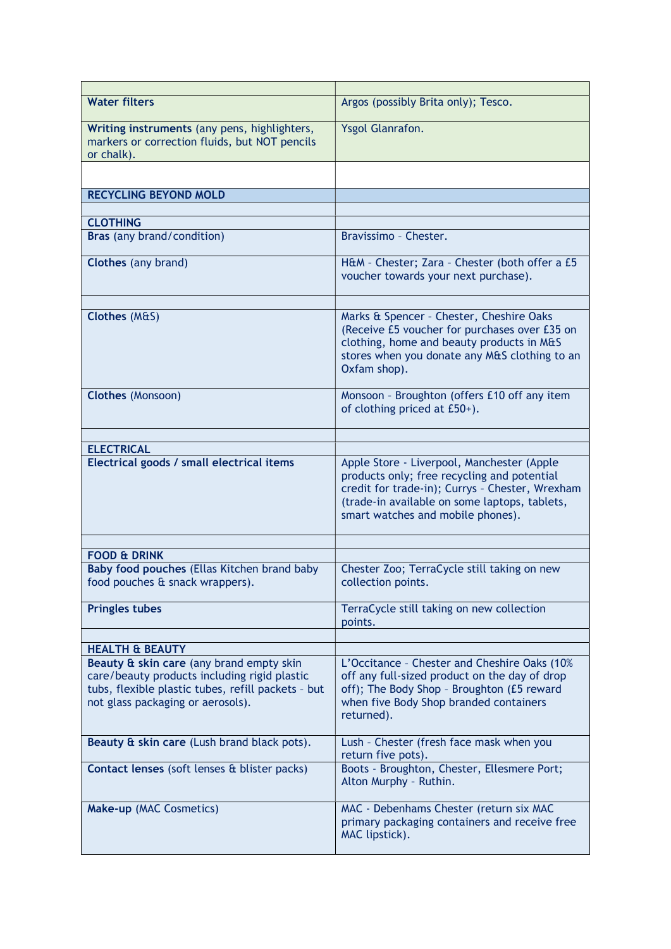| <b>Water filters</b>                                                                                                                                                                                              | Argos (possibly Brita only); Tesco.                                                                                                                                                                                                |
|-------------------------------------------------------------------------------------------------------------------------------------------------------------------------------------------------------------------|------------------------------------------------------------------------------------------------------------------------------------------------------------------------------------------------------------------------------------|
| Writing instruments (any pens, highlighters,<br>markers or correction fluids, but NOT pencils<br>or chalk).                                                                                                       | <b>Ysgol Glanrafon.</b>                                                                                                                                                                                                            |
|                                                                                                                                                                                                                   |                                                                                                                                                                                                                                    |
| <b>RECYCLING BEYOND MOLD</b>                                                                                                                                                                                      |                                                                                                                                                                                                                                    |
|                                                                                                                                                                                                                   |                                                                                                                                                                                                                                    |
| <b>CLOTHING</b>                                                                                                                                                                                                   |                                                                                                                                                                                                                                    |
| Bras (any brand/condition)                                                                                                                                                                                        | Bravissimo - Chester.                                                                                                                                                                                                              |
| <b>Clothes</b> (any brand)                                                                                                                                                                                        | H&M - Chester; Zara - Chester (both offer a £5<br>voucher towards your next purchase).                                                                                                                                             |
|                                                                                                                                                                                                                   |                                                                                                                                                                                                                                    |
| Clothes (M&S)                                                                                                                                                                                                     | Marks & Spencer - Chester, Cheshire Oaks<br>(Receive £5 voucher for purchases over £35 on<br>clothing, home and beauty products in M&S<br>stores when you donate any M&S clothing to an<br>Oxfam shop).                            |
| <b>Clothes (Monsoon)</b>                                                                                                                                                                                          | Monsoon - Broughton (offers £10 off any item<br>of clothing priced at £50+).                                                                                                                                                       |
|                                                                                                                                                                                                                   |                                                                                                                                                                                                                                    |
| <b>ELECTRICAL</b>                                                                                                                                                                                                 |                                                                                                                                                                                                                                    |
| Electrical goods / small electrical items                                                                                                                                                                         | Apple Store - Liverpool, Manchester (Apple<br>products only; free recycling and potential<br>credit for trade-in); Currys - Chester, Wrexham<br>(trade-in available on some laptops, tablets,<br>smart watches and mobile phones). |
|                                                                                                                                                                                                                   |                                                                                                                                                                                                                                    |
| <b>FOOD &amp; DRINK</b>                                                                                                                                                                                           |                                                                                                                                                                                                                                    |
| Baby food pouches (Ellas Kitchen brand baby<br>food pouches & snack wrappers).                                                                                                                                    | Chester Zoo; TerraCycle still taking on new<br>collection points.                                                                                                                                                                  |
| <b>Pringles tubes</b>                                                                                                                                                                                             | TerraCycle still taking on new collection<br>points.                                                                                                                                                                               |
|                                                                                                                                                                                                                   |                                                                                                                                                                                                                                    |
| <b>HEALTH &amp; BEAUTY</b><br>Beauty & skin care (any brand empty skin<br>care/beauty products including rigid plastic<br>tubs, flexible plastic tubes, refill packets - but<br>not glass packaging or aerosols). | L'Occitance - Chester and Cheshire Oaks (10%<br>off any full-sized product on the day of drop<br>off); The Body Shop - Broughton (£5 reward<br>when five Body Shop branded containers<br>returned).                                |
| Beauty & skin care (Lush brand black pots).                                                                                                                                                                       | Lush - Chester (fresh face mask when you<br>return five pots).                                                                                                                                                                     |
| Contact lenses (soft lenses & blister packs)                                                                                                                                                                      | Boots - Broughton, Chester, Ellesmere Port;<br>Alton Murphy - Ruthin.                                                                                                                                                              |
| Make-up (MAC Cosmetics)                                                                                                                                                                                           | MAC - Debenhams Chester (return six MAC<br>primary packaging containers and receive free<br>MAC lipstick).                                                                                                                         |